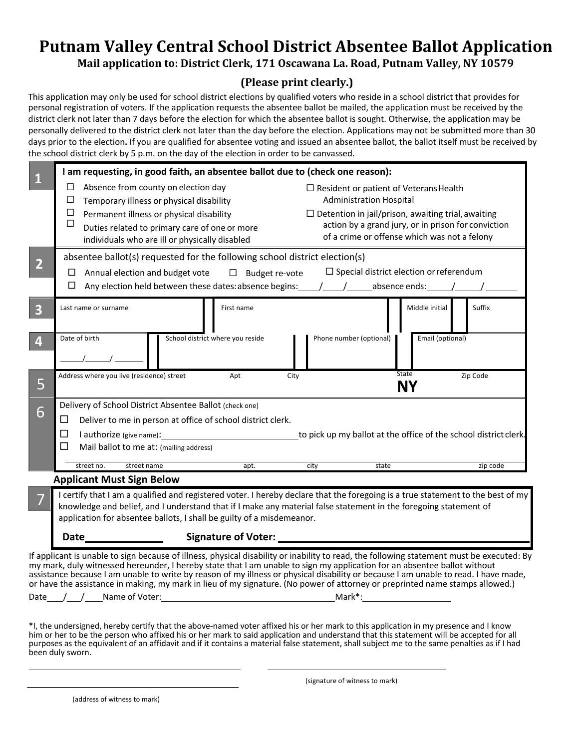# **Putnam Valley Central School District Absentee Ballot Application** Mail application to: District Clerk, 171 Oscawana La. Road, Putnam Valley, NY 10579

## **(Please print clearly.)**

This application may only be used for school district elections by qualified voters who reside in a school district that provides for personal registration of voters. If the application requests the absentee ballot be mailed, the application must be received by the district clerk not later than 7 days before the election for which the absentee ballot is sought. Otherwise, the application may be personally delivered to the district clerk not later than the day before the election. Applications may not be submitted more than 30 days prior to the election**.** If you are qualified for absentee voting and issued an absentee ballot, the ballot itself must be received by the school district clerk by 5 p.m. on the day of the election in order to be canvassed.

| $\vert$ 1                                                                                                                                                                                                                                                       |                                                                                                                                                                                                                                                     | I am requesting, in good faith, an absentee ballot due to (check one reason): |                |                                          |            |      |                                                           |                  |  |          |  |
|-----------------------------------------------------------------------------------------------------------------------------------------------------------------------------------------------------------------------------------------------------------------|-----------------------------------------------------------------------------------------------------------------------------------------------------------------------------------------------------------------------------------------------------|-------------------------------------------------------------------------------|----------------|------------------------------------------|------------|------|-----------------------------------------------------------|------------------|--|----------|--|
|                                                                                                                                                                                                                                                                 | Absence from county on election day<br>□                                                                                                                                                                                                            |                                                                               |                |                                          |            |      | $\Box$ Resident or patient of Veterans Health             |                  |  |          |  |
|                                                                                                                                                                                                                                                                 | ⊔                                                                                                                                                                                                                                                   |                                                                               |                | Temporary illness or physical disability |            |      | <b>Administration Hospital</b>                            |                  |  |          |  |
|                                                                                                                                                                                                                                                                 | □<br>Permanent illness or physical disability                                                                                                                                                                                                       |                                                                               |                |                                          |            |      | $\Box$ Detention in jail/prison, awaiting trial, awaiting |                  |  |          |  |
|                                                                                                                                                                                                                                                                 | $\Box$<br>Duties related to primary care of one or more                                                                                                                                                                                             |                                                                               |                |                                          |            |      | action by a grand jury, or in prison for conviction       |                  |  |          |  |
|                                                                                                                                                                                                                                                                 | of a crime or offense which was not a felony<br>individuals who are ill or physically disabled                                                                                                                                                      |                                                                               |                |                                          |            |      |                                                           |                  |  |          |  |
| $\overline{2}$                                                                                                                                                                                                                                                  | absentee ballot(s) requested for the following school district election(s)                                                                                                                                                                          |                                                                               |                |                                          |            |      |                                                           |                  |  |          |  |
|                                                                                                                                                                                                                                                                 | Annual election and budget vote<br>$\square$ Budget re-vote<br>⊔                                                                                                                                                                                    |                                                                               |                |                                          |            |      | $\Box$ Special district election or referendum            |                  |  |          |  |
|                                                                                                                                                                                                                                                                 | Any election held between these dates: absence begins: $\frac{1}{2}$ $\frac{1}{2}$ absence ends: $\frac{1}{2}$<br>⊔                                                                                                                                 |                                                                               |                |                                          |            |      |                                                           |                  |  |          |  |
|                                                                                                                                                                                                                                                                 |                                                                                                                                                                                                                                                     |                                                                               |                |                                          |            |      |                                                           |                  |  |          |  |
| $\overline{3}$                                                                                                                                                                                                                                                  | Last name or surname                                                                                                                                                                                                                                |                                                                               |                |                                          | First name |      |                                                           | Middle initial   |  | Suffix   |  |
|                                                                                                                                                                                                                                                                 |                                                                                                                                                                                                                                                     |                                                                               |                |                                          |            |      |                                                           |                  |  |          |  |
| $\overline{4}$                                                                                                                                                                                                                                                  | Date of birth                                                                                                                                                                                                                                       |                                                                               |                | School district where you reside         |            |      | Phone number (optional)                                   | Email (optional) |  |          |  |
|                                                                                                                                                                                                                                                                 |                                                                                                                                                                                                                                                     |                                                                               |                |                                          |            |      |                                                           |                  |  |          |  |
|                                                                                                                                                                                                                                                                 |                                                                                                                                                                                                                                                     |                                                                               |                |                                          |            |      |                                                           |                  |  |          |  |
| 5                                                                                                                                                                                                                                                               | Address where you live (residence) street                                                                                                                                                                                                           |                                                                               |                |                                          | Apt        | City |                                                           | <b>State</b>     |  | Zip Code |  |
|                                                                                                                                                                                                                                                                 | NΥ                                                                                                                                                                                                                                                  |                                                                               |                |                                          |            |      |                                                           |                  |  |          |  |
| 6                                                                                                                                                                                                                                                               | Delivery of School District Absentee Ballot (check one)                                                                                                                                                                                             |                                                                               |                |                                          |            |      |                                                           |                  |  |          |  |
|                                                                                                                                                                                                                                                                 | ⊔<br>Deliver to me in person at office of school district clerk.                                                                                                                                                                                    |                                                                               |                |                                          |            |      |                                                           |                  |  |          |  |
|                                                                                                                                                                                                                                                                 | I authorize (give name): Lauthorize (give name): Lauthorize (give name): Lauthorize (give name): Lauthorize 1<br>□                                                                                                                                  |                                                                               |                |                                          |            |      |                                                           |                  |  |          |  |
|                                                                                                                                                                                                                                                                 | Mail ballot to me at: (mailing address)<br>⊔                                                                                                                                                                                                        |                                                                               |                |                                          |            |      |                                                           |                  |  |          |  |
|                                                                                                                                                                                                                                                                 |                                                                                                                                                                                                                                                     | street name<br>street no.                                                     |                |                                          |            |      | city<br>state                                             | zip code         |  |          |  |
|                                                                                                                                                                                                                                                                 | apt.                                                                                                                                                                                                                                                |                                                                               |                |                                          |            |      |                                                           |                  |  |          |  |
|                                                                                                                                                                                                                                                                 | <b>Applicant Must Sign Below</b>                                                                                                                                                                                                                    |                                                                               |                |                                          |            |      |                                                           |                  |  |          |  |
|                                                                                                                                                                                                                                                                 | I certify that I am a qualified and registered voter. I hereby declare that the foregoing is a true statement to the best of my<br>knowledge and belief, and I understand that if I make any material false statement in the foregoing statement of |                                                                               |                |                                          |            |      |                                                           |                  |  |          |  |
|                                                                                                                                                                                                                                                                 | application for absentee ballots, I shall be guilty of a misdemeanor.                                                                                                                                                                               |                                                                               |                |                                          |            |      |                                                           |                  |  |          |  |
|                                                                                                                                                                                                                                                                 |                                                                                                                                                                                                                                                     |                                                                               |                |                                          |            |      |                                                           |                  |  |          |  |
|                                                                                                                                                                                                                                                                 |                                                                                                                                                                                                                                                     | Date______________                                                            |                |                                          |            |      |                                                           |                  |  |          |  |
| If applicant is unable to sign because of illness, physical disability or inability to read, the following statement must be executed: By                                                                                                                       |                                                                                                                                                                                                                                                     |                                                                               |                |                                          |            |      |                                                           |                  |  |          |  |
| my mark, duly witnessed hereunder, I hereby state that I am unable to sign my application for an absentee ballot without<br>assistance because I am unable to write by reason of my illness or physical disability or because I am unable to read. I have made, |                                                                                                                                                                                                                                                     |                                                                               |                |                                          |            |      |                                                           |                  |  |          |  |
| or have the assistance in making, my mark in lieu of my signature. (No power of attorney or preprinted name stamps allowed.)                                                                                                                                    |                                                                                                                                                                                                                                                     |                                                                               |                |                                          |            |      |                                                           |                  |  |          |  |
| Date                                                                                                                                                                                                                                                            |                                                                                                                                                                                                                                                     |                                                                               | Name of Voter: |                                          |            |      | Mark*:                                                    |                  |  |          |  |

\*I, the undersigned, hereby certify that the above-named voter affixed his or her mark to this application in my presence and I know him or her to be the person who affixed his or her mark to said application and understand that this statement will be accepted for all purposes as the equivalent of an affidavit and if it contains a material false statement, shall subject me to the same penalties as if I had been duly sworn.

(signature of witness to mark)

(address of witness to mark)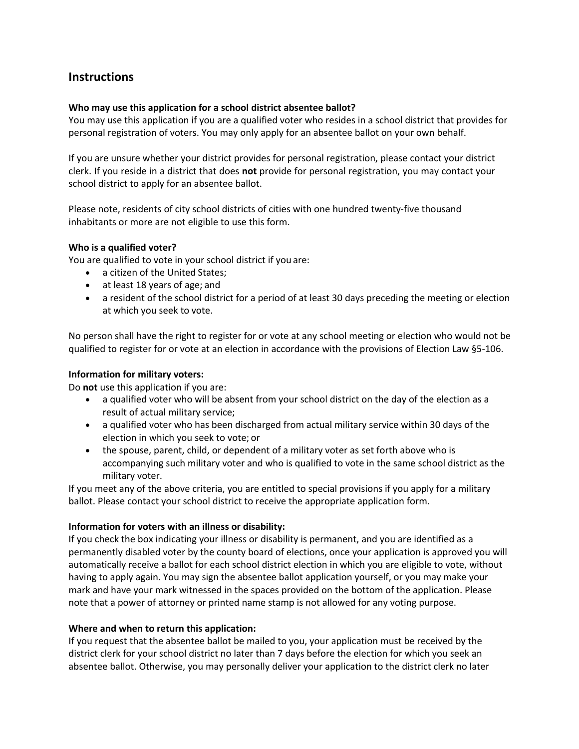### **Instructions**

#### **Who may use this application for a school district absentee ballot?**

You may use this application if you are a qualified voter who resides in a school district that provides for personal registration of voters. You may only apply for an absentee ballot on your own behalf.

If you are unsure whether your district provides for personal registration, please contact your district clerk. If you reside in a district that does **not** provide for personal registration, you may contact your school district to apply for an absentee ballot.

Please note, residents of city school districts of cities with one hundred twenty-five thousand inhabitants or more are not eligible to use this form.

#### **Who is a qualified voter?**

You are qualified to vote in your school district if you are:

- a citizen of the United States;
- at least 18 years of age; and
- a resident of the school district for a period of at least 30 days preceding the meeting or election at which you seek to vote.

No person shall have the right to register for or vote at any school meeting or election who would not be qualified to register for or vote at an election in accordance with the provisions of Election Law §5-106.

#### **Information for military voters:**

Do **not** use this application if you are:

- a qualified voter who will be absent from your school district on the day of the election as a result of actual military service;
- a qualified voter who has been discharged from actual military service within 30 days of the election in which you seek to vote; or
- the spouse, parent, child, or dependent of a military voter as set forth above who is accompanying such military voter and who is qualified to vote in the same school district as the military voter.

If you meet any of the above criteria, you are entitled to special provisions if you apply for a military ballot. Please contact your school district to receive the appropriate application form.

#### **Information for voters with an illness or disability:**

If you check the box indicating your illness or disability is permanent, and you are identified as a permanently disabled voter by the county board of elections, once your application is approved you will automatically receive a ballot for each school district election in which you are eligible to vote, without having to apply again. You may sign the absentee ballot application yourself, or you may make your mark and have your mark witnessed in the spaces provided on the bottom of the application. Please note that a power of attorney or printed name stamp is not allowed for any voting purpose.

#### **Where and when to return this application:**

If you request that the absentee ballot be mailed to you, your application must be received by the district clerk for your school district no later than 7 days before the election for which you seek an absentee ballot. Otherwise, you may personally deliver your application to the district clerk no later